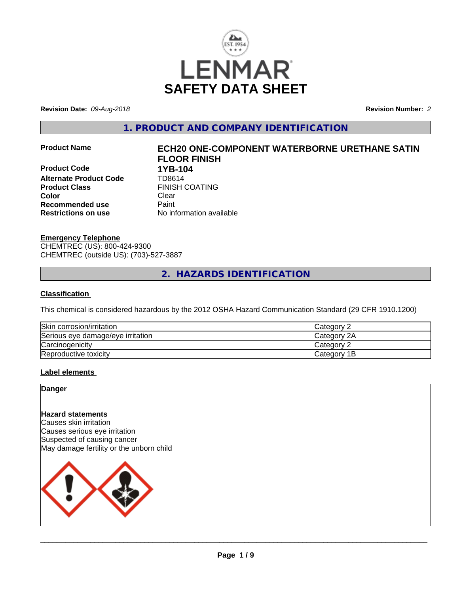

**Revision Date:** *09-Aug-2018* **Revision Number:** *2*

**1. PRODUCT AND COMPANY IDENTIFICATION**

**Product Code 1YB-104**<br>**Alternate Product Code 17D8614 Alternate Product Code Product Class** FINISH COATING **Color** Clear **Recommended use** Paint **Restrictions on use** No information available

# **Product Name ECH20 ONE-COMPONENT WATERBORNE URETHANE SATIN FLOOR FINISH**

**Emergency Telephone** CHEMTREC (US): 800-424-9300 CHEMTREC (outside US): (703)-527-3887

**2. HAZARDS IDENTIFICATION**

# **Classification**

This chemical is considered hazardous by the 2012 OSHA Hazard Communication Standard (29 CFR 1910.1200)

| Skin corrosion/irritation         | Category 2  |
|-----------------------------------|-------------|
| Serious eye damage/eye irritation | Category 2A |
| Carcinogenicity                   | Category 2  |
| Reproductive toxicity             | Category 1B |

# **Label elements**

**Danger**

# **Hazard statements**

Causes skin irritation Causes serious eye irritation Suspected of causing cancer May damage fertility or the unborn child

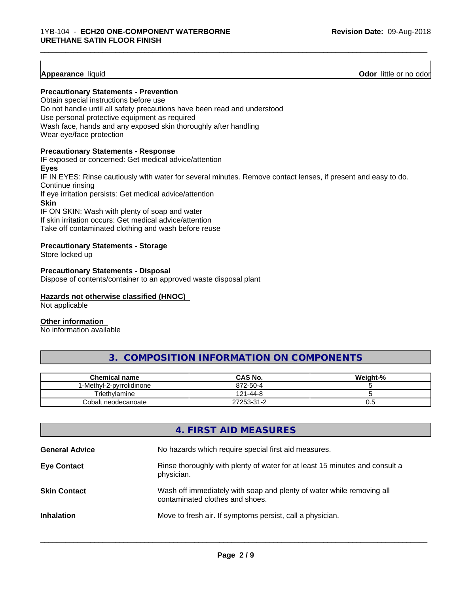# **Appearance** liquid

**Odor** little or no odor

#### **Precautionary Statements - Prevention**

Obtain special instructions before use Do not handle until all safety precautions have been read and understood Use personal protective equipment as required Wash face, hands and any exposed skin thoroughly after handling Wear eye/face protection

#### **Precautionary Statements - Response**

IF exposed or concerned: Get medical advice/attention **Eyes** IF IN EYES: Rinse cautiously with water for several minutes. Remove contact lenses, if present and easy to do. Continue rinsing If eye irritation persists: Get medical advice/attention **Skin** IF ON SKIN: Wash with plenty of soap and water

\_\_\_\_\_\_\_\_\_\_\_\_\_\_\_\_\_\_\_\_\_\_\_\_\_\_\_\_\_\_\_\_\_\_\_\_\_\_\_\_\_\_\_\_\_\_\_\_\_\_\_\_\_\_\_\_\_\_\_\_\_\_\_\_\_\_\_\_\_\_\_\_\_\_\_\_\_\_\_\_\_\_\_\_\_\_\_\_\_\_\_\_\_

If skin irritation occurs: Get medical advice/attention Take off contaminated clothing and wash before reuse

#### **Precautionary Statements - Storage**

Store locked up

#### **Precautionary Statements - Disposal**

Dispose of contents/container to an approved waste disposal plant

# **Hazards not otherwise classified (HNOC)**

Not applicable

# **Other information**

No information available

# **3. COMPOSITION INFORMATION ON COMPONENTS**

| <b>Chemical name</b>    | <b>CAS No.</b> | Weight-% |
|-------------------------|----------------|----------|
| -Methyl-2-pyrrolidinone | 872-50-4       |          |
| Triethylamine           | 121-44-8       |          |
| Cobalt neodecanoate     | 27253-31-2     | v.J      |

|                       | 4. FIRST AID MEASURES                                                                                    |
|-----------------------|----------------------------------------------------------------------------------------------------------|
| <b>General Advice</b> | No hazards which require special first aid measures.                                                     |
| <b>Eye Contact</b>    | Rinse thoroughly with plenty of water for at least 15 minutes and consult a<br>physician.                |
| <b>Skin Contact</b>   | Wash off immediately with soap and plenty of water while removing all<br>contaminated clothes and shoes. |
| <b>Inhalation</b>     | Move to fresh air. If symptoms persist, call a physician.                                                |
|                       |                                                                                                          |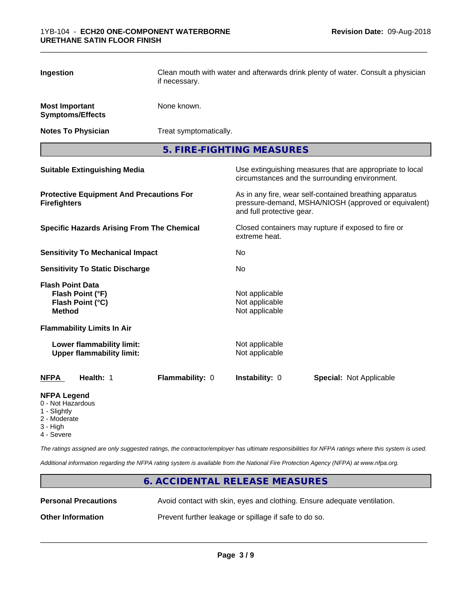| Ingestion                                                                        | Clean mouth with water and afterwards drink plenty of water. Consult a physician<br>if necessary. |                                                    |                                                                                                                 |
|----------------------------------------------------------------------------------|---------------------------------------------------------------------------------------------------|----------------------------------------------------|-----------------------------------------------------------------------------------------------------------------|
| <b>Most Important</b><br><b>Symptoms/Effects</b>                                 | None known.                                                                                       |                                                    |                                                                                                                 |
| <b>Notes To Physician</b>                                                        | Treat symptomatically.                                                                            |                                                    |                                                                                                                 |
|                                                                                  |                                                                                                   | 5. FIRE-FIGHTING MEASURES                          |                                                                                                                 |
| <b>Suitable Extinguishing Media</b>                                              |                                                                                                   |                                                    | Use extinguishing measures that are appropriate to local<br>circumstances and the surrounding environment.      |
| <b>Protective Equipment And Precautions For</b><br><b>Firefighters</b>           |                                                                                                   | and full protective gear.                          | As in any fire, wear self-contained breathing apparatus<br>pressure-demand, MSHA/NIOSH (approved or equivalent) |
| <b>Specific Hazards Arising From The Chemical</b>                                |                                                                                                   | extreme heat.                                      | Closed containers may rupture if exposed to fire or                                                             |
| <b>Sensitivity To Mechanical Impact</b>                                          |                                                                                                   | No                                                 |                                                                                                                 |
| <b>Sensitivity To Static Discharge</b>                                           |                                                                                                   | No                                                 |                                                                                                                 |
| <b>Flash Point Data</b><br>Flash Point (°F)<br>Flash Point (°C)<br><b>Method</b> |                                                                                                   | Not applicable<br>Not applicable<br>Not applicable |                                                                                                                 |
| <b>Flammability Limits In Air</b>                                                |                                                                                                   |                                                    |                                                                                                                 |
| Lower flammability limit:<br><b>Upper flammability limit:</b>                    |                                                                                                   | Not applicable<br>Not applicable                   |                                                                                                                 |
| <b>NFPA</b><br>Health: 1                                                         | Flammability: 0                                                                                   | Instability: 0                                     | <b>Special: Not Applicable</b>                                                                                  |
| <b>NFPA Legend</b><br>$\bigcap$ N at He $\bigcap$                                |                                                                                                   |                                                    |                                                                                                                 |

# 0 - Not Hazardous

- 
- 1 Slightly
- 2 Moderate
- 3 High
- 4 Severe

*The ratings assigned are only suggested ratings, the contractor/employer has ultimate responsibilities for NFPA ratings where this system is used.*

*Additional information regarding the NFPA rating system is available from the National Fire Protection Agency (NFPA) at www.nfpa.org.*

# **6. ACCIDENTAL RELEASE MEASURES Personal Precautions** Avoid contact with skin, eyes and clothing. Ensure adequate ventilation. **Other Information** Prevent further leakage or spillage if safe to do so.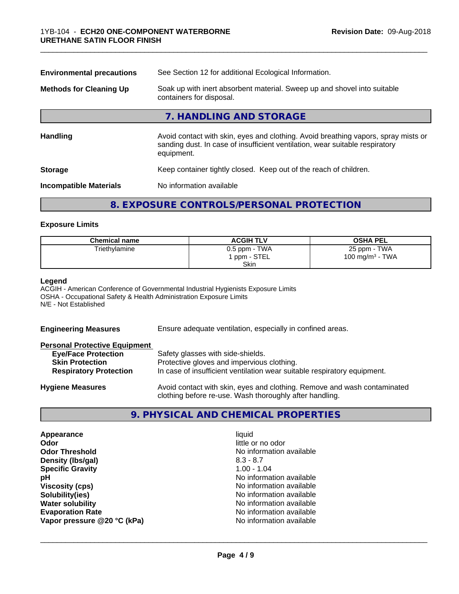| See Section 12 for additional Ecological Information.<br><b>Environmental precautions</b>                                                                                        |  |
|----------------------------------------------------------------------------------------------------------------------------------------------------------------------------------|--|
| Soak up with inert absorbent material. Sweep up and shovel into suitable<br>containers for disposal.                                                                             |  |
| 7. HANDLING AND STORAGE                                                                                                                                                          |  |
| Avoid contact with skin, eyes and clothing. Avoid breathing vapors, spray mists or<br>sanding dust. In case of insufficient ventilation, wear suitable respiratory<br>equipment. |  |
| Keep container tightly closed. Keep out of the reach of children.                                                                                                                |  |
| No information available                                                                                                                                                         |  |
|                                                                                                                                                                                  |  |

# **8. EXPOSURE CONTROLS/PERSONAL PROTECTION**

# **Exposure Limits**

| <b>Chemical name</b> | <b>ACGIH TLV</b>        | <b>OSHA PEL</b>    |
|----------------------|-------------------------|--------------------|
| Triethylamine        | $0.5$ ppm - TWA         | 25 ppm - TWA       |
|                      | <sup>1</sup> ppm - STEL | 100 mg/m $3$ - TWA |
|                      | <b>Skin</b>             |                    |

# **Legend**

ACGIH - American Conference of Governmental Industrial Hygienists Exposure Limits OSHA - Occupational Safety & Health Administration Exposure Limits N/E - Not Established

| <b>Engineering Measures</b>          | Ensure adequate ventilation, especially in confined areas.                                                                          |  |
|--------------------------------------|-------------------------------------------------------------------------------------------------------------------------------------|--|
| <b>Personal Protective Equipment</b> |                                                                                                                                     |  |
| <b>Eye/Face Protection</b>           | Safety glasses with side-shields.                                                                                                   |  |
| <b>Skin Protection</b>               | Protective gloves and impervious clothing.                                                                                          |  |
| <b>Respiratory Protection</b>        | In case of insufficient ventilation wear suitable respiratory equipment.                                                            |  |
| <b>Hygiene Measures</b>              | Avoid contact with skin, eyes and clothing. Remove and wash contaminated<br>clothing before re-use. Wash thoroughly after handling. |  |

# **9. PHYSICAL AND CHEMICAL PROPERTIES**

| Appearance                  | liquid                   |
|-----------------------------|--------------------------|
| Odor                        | little or no odor        |
| <b>Odor Threshold</b>       | No information available |
| Density (Ibs/gal)           | $8.3 - 8.7$              |
| <b>Specific Gravity</b>     | $1.00 - 1.04$            |
| рH                          | No information available |
| <b>Viscosity (cps)</b>      | No information available |
| Solubility(ies)             | No information available |
| <b>Water solubility</b>     | No information available |
| <b>Evaporation Rate</b>     | No information available |
| Vapor pressure @20 °C (kPa) | No information available |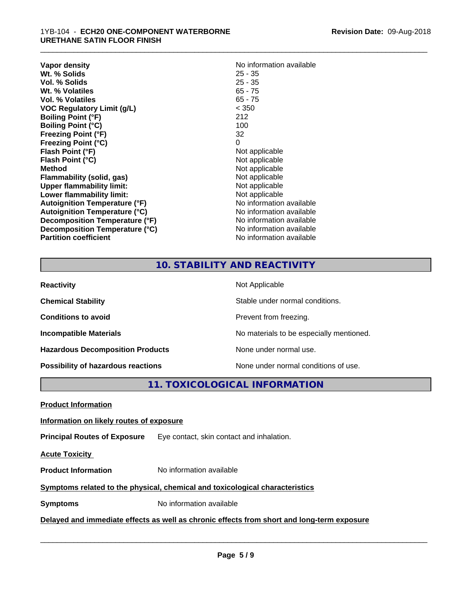| <b>Vapor density</b>                 | No information available |
|--------------------------------------|--------------------------|
| Wt. % Solids                         | $25 - 35$                |
| Vol. % Solids                        | $25 - 35$                |
| Wt. % Volatiles                      | $65 - 75$                |
| Vol. % Volatiles                     | $65 - 75$                |
| <b>VOC Regulatory Limit (g/L)</b>    | < 350                    |
| <b>Boiling Point (°F)</b>            | 212                      |
| <b>Boiling Point (°C)</b>            | 100                      |
| <b>Freezing Point (°F)</b>           | 32                       |
| <b>Freezing Point (°C)</b>           | 0                        |
| Flash Point (°F)                     | Not applicable           |
| Flash Point (°C)                     | Not applicable           |
| <b>Method</b>                        | Not applicable           |
| Flammability (solid, gas)            | Not applicable           |
| <b>Upper flammability limit:</b>     | Not applicable           |
| Lower flammability limit:            | Not applicable           |
| Autoignition Temperature (°F)        | No information available |
| <b>Autoignition Temperature (°C)</b> | No information available |
| Decomposition Temperature (°F)       | No information available |
| Decomposition Temperature (°C)       | No information available |
| <b>Partition coefficient</b>         | No information available |

# **No information available**<br>25 - 35 **Not applicable Not applicable Not applicable Flammability (solid, gas)** Not applicable **Not applicable Not applicable No information available Autoignition Temperature (°C)** No information available **No information available No information available No information available**

\_\_\_\_\_\_\_\_\_\_\_\_\_\_\_\_\_\_\_\_\_\_\_\_\_\_\_\_\_\_\_\_\_\_\_\_\_\_\_\_\_\_\_\_\_\_\_\_\_\_\_\_\_\_\_\_\_\_\_\_\_\_\_\_\_\_\_\_\_\_\_\_\_\_\_\_\_\_\_\_\_\_\_\_\_\_\_\_\_\_\_\_\_

# **10. STABILITY AND REACTIVITY**

| <b>Reactivity</b>                         | Not Applicable                           |
|-------------------------------------------|------------------------------------------|
| <b>Chemical Stability</b>                 | Stable under normal conditions.          |
| <b>Conditions to avoid</b>                | Prevent from freezing.                   |
| <b>Incompatible Materials</b>             | No materials to be especially mentioned. |
| <b>Hazardous Decomposition Products</b>   | None under normal use.                   |
| <b>Possibility of hazardous reactions</b> | None under normal conditions of use.     |

**11. TOXICOLOGICAL INFORMATION**

**Product Information**

# **Information on likely routes of exposure**

**Principal Routes of Exposure** Eye contact, skin contact and inhalation.

**Acute Toxicity** 

**Product Information** No information available

# **Symptoms related to the physical,chemical and toxicological characteristics**

**Symptoms** No information available

**Delayed and immediate effects as well as chronic effects from short and long-term exposure**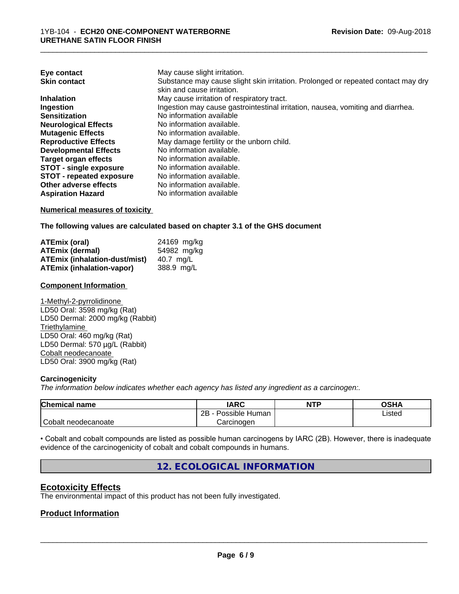| May cause slight irritation.                                                      |
|-----------------------------------------------------------------------------------|
| Substance may cause slight skin irritation. Prolonged or repeated contact may dry |
| skin and cause irritation.                                                        |
| May cause irritation of respiratory tract.                                        |
| Ingestion may cause gastrointestinal irritation, nausea, vomiting and diarrhea.   |
| No information available                                                          |
| No information available.                                                         |
| No information available.                                                         |
| May damage fertility or the unborn child.                                         |
| No information available.                                                         |
| No information available.                                                         |
| No information available.                                                         |
| No information available.                                                         |
| No information available.                                                         |
| No information available                                                          |
|                                                                                   |

\_\_\_\_\_\_\_\_\_\_\_\_\_\_\_\_\_\_\_\_\_\_\_\_\_\_\_\_\_\_\_\_\_\_\_\_\_\_\_\_\_\_\_\_\_\_\_\_\_\_\_\_\_\_\_\_\_\_\_\_\_\_\_\_\_\_\_\_\_\_\_\_\_\_\_\_\_\_\_\_\_\_\_\_\_\_\_\_\_\_\_\_\_

# **Numerical measures of toxicity**

**The following values are calculated based on chapter 3.1 of the GHS document**

| ATEmix (oral)                        | 24169 mg/kg |
|--------------------------------------|-------------|
| <b>ATEmix (dermal)</b>               | 54982 mg/kg |
| <b>ATEmix (inhalation-dust/mist)</b> | 40.7 ma/L   |
| ATEmix (inhalation-vapor)            | 388.9 ma/L  |

#### **Component Information**

1-Methyl-2-pyrrolidinone LD50 Oral: 3598 mg/kg (Rat) LD50 Dermal: 2000 mg/kg (Rabbit) **Triethylamine** LD50 Oral: 460 mg/kg (Rat) LD50 Dermal: 570 µg/L (Rabbit) Cobalt neodecanoate LD50 Oral: 3900 mg/kg (Rat)

# **Carcinogenicity**

*The information below indicateswhether each agency has listed any ingredient as a carcinogen:.*

| Chemical<br>name    | <b>IARC</b>               | <b>NTP</b> | OSHA   |
|---------------------|---------------------------|------------|--------|
|                     | .<br>2B<br>Possible Human |            | Listed |
| Cobalt neodecanoate | Carcinoɑen                |            |        |

• Cobalt and cobalt compounds are listed as possible human carcinogens by IARC (2B). However, there is inadequate evidence of the carcinogenicity of cobalt and cobalt compounds in humans.

# **12. ECOLOGICAL INFORMATION**

# **Ecotoxicity Effects**

The environmental impact of this product has not been fully investigated.

# **Product Information**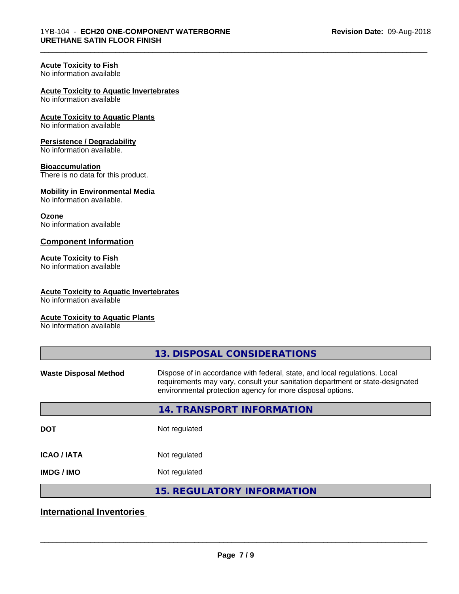\_\_\_\_\_\_\_\_\_\_\_\_\_\_\_\_\_\_\_\_\_\_\_\_\_\_\_\_\_\_\_\_\_\_\_\_\_\_\_\_\_\_\_\_\_\_\_\_\_\_\_\_\_\_\_\_\_\_\_\_\_\_\_\_\_\_\_\_\_\_\_\_\_\_\_\_\_\_\_\_\_\_\_\_\_\_\_\_\_\_\_\_\_

#### **Acute Toxicity to Fish** No information available

# **Acute Toxicity to Aquatic Invertebrates**

No information available

**Acute Toxicity to Aquatic Plants** No information available

# **Persistence / Degradability**

No information available.

# **Bioaccumulation**

There is no data for this product.

#### **Mobility in Environmental Media** No information available.

# **Ozone**

No information available

# **Component Information**

# **Acute Toxicity to Fish**

No information available

# **Acute Toxicity to Aquatic Invertebrates**

No information available

# **Acute Toxicity to Aquatic Plants**

No information available

|                              | 13. DISPOSAL CONSIDERATIONS                                                                                                                                                                                               |
|------------------------------|---------------------------------------------------------------------------------------------------------------------------------------------------------------------------------------------------------------------------|
| <b>Waste Disposal Method</b> | Dispose of in accordance with federal, state, and local regulations. Local<br>requirements may vary, consult your sanitation department or state-designated<br>environmental protection agency for more disposal options. |
|                              | 14. TRANSPORT INFORMATION                                                                                                                                                                                                 |
| <b>DOT</b>                   | Not regulated                                                                                                                                                                                                             |
| <b>ICAO/IATA</b>             | Not regulated                                                                                                                                                                                                             |
| <b>IMDG / IMO</b>            | Not regulated                                                                                                                                                                                                             |
|                              | <b>15. REGULATORY INFORMATION</b>                                                                                                                                                                                         |

# **International Inventories**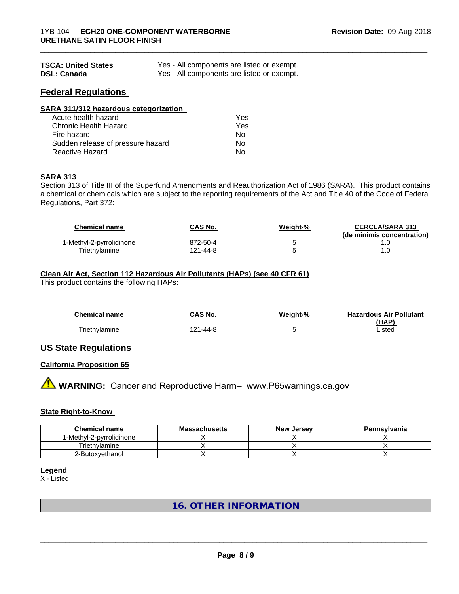| <b>TSCA: United States</b> | Yes - All components are listed or exempt. |
|----------------------------|--------------------------------------------|
| <b>DSL: Canada</b>         | Yes - All components are listed or exempt. |

# **Federal Regulations**

| SARA 311/312 hazardous categorization |     |  |
|---------------------------------------|-----|--|
| Acute health hazard                   | Yes |  |
| Chronic Health Hazard                 | Yes |  |
| Fire hazard                           | Nο  |  |
| Sudden release of pressure hazard     | Nο  |  |
| <b>Reactive Hazard</b>                | No  |  |

# **SARA 313**

Section 313 of Title III of the Superfund Amendments and Reauthorization Act of 1986 (SARA). This product contains a chemical or chemicals which are subject to the reporting requirements of the Act and Title 40 of the Code of Federal Regulations, Part 372:

| <b>Chemical name</b>     | CAS No.  | Weight-% | <b>CERCLA/SARA 313</b><br>(de minimis concentration) |
|--------------------------|----------|----------|------------------------------------------------------|
| 1-Methyl-2-pyrrolidinone | 872-50-4 |          |                                                      |
| Triethvlamine            | 121-44-8 |          |                                                      |

Triethylamine 121-44-8 5 Listed

\_\_\_\_\_\_\_\_\_\_\_\_\_\_\_\_\_\_\_\_\_\_\_\_\_\_\_\_\_\_\_\_\_\_\_\_\_\_\_\_\_\_\_\_\_\_\_\_\_\_\_\_\_\_\_\_\_\_\_\_\_\_\_\_\_\_\_\_\_\_\_\_\_\_\_\_\_\_\_\_\_\_\_\_\_\_\_\_\_\_\_\_\_

#### **Clean Air Act,Section 112 Hazardous Air Pollutants (HAPs) (see 40 CFR 61)** This product contains the following HAPs:

| <b>Chemical name</b> | <b>CAS No.</b> | <b>Weight-%</b> | <b>Hazardous Air Pollutant</b> |
|----------------------|----------------|-----------------|--------------------------------|
|                      |                |                 | (HAP)                          |
| Triethylamine        | 121-44-8       |                 | Listed                         |

# **US State Regulations**

# **California Proposition 65**

**A WARNING:** Cancer and Reproductive Harm– www.P65warnings.ca.gov

# **State Right-to-Know**

| <b>Chemical name</b>     | <b>Massachusetts</b> | <b>New Jersey</b> | Pennsylvania |
|--------------------------|----------------------|-------------------|--------------|
| 1-Methyl-2-pyrrolidinone |                      |                   |              |
| Triethvlamine            |                      |                   |              |
| 2-Butoxyethanol          |                      |                   |              |

# **Legend**

X - Listed

# **16. OTHER INFORMATION**